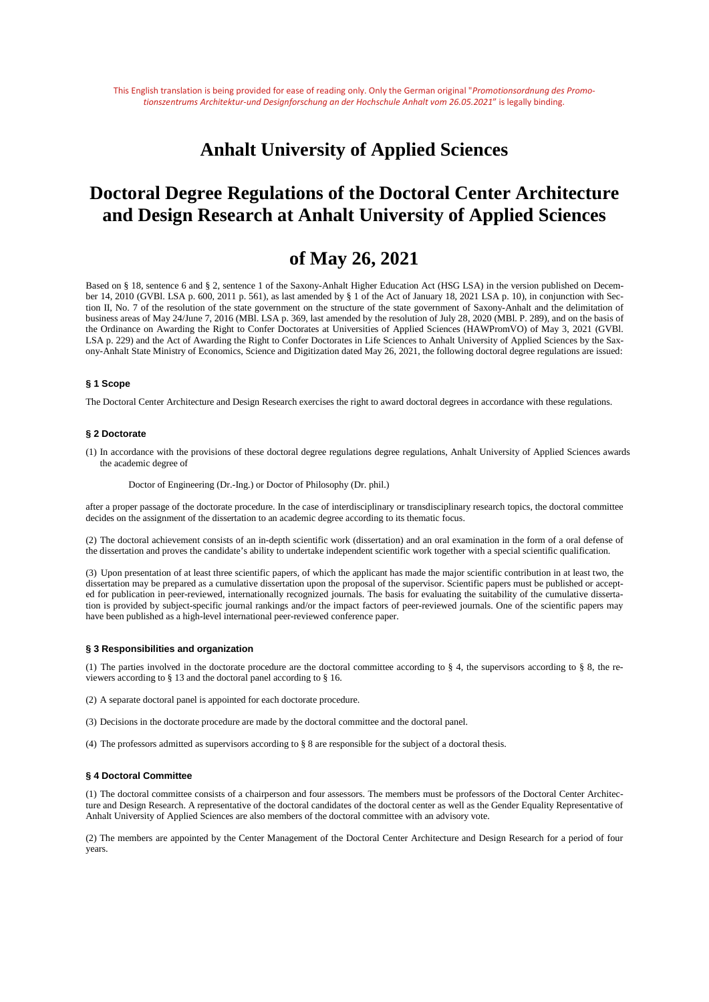## **Anhalt University of Applied Sciences**

## **Doctoral Degree Regulations of the Doctoral Center Architecture and Design Research at Anhalt University of Applied Sciences**

### **of May 26, 2021**

Based on § 18, sentence 6 and § 2, sentence 1 of the Saxony-Anhalt Higher Education Act (HSG LSA) in the version published on December 14, 2010 (GVBl. LSA p. 600, 2011 p. 561), as last amended by § 1 of the Act of January 18, 2021 LSA p. 10), in conjunction with Section II, No. 7 of the resolution of the state government on the structure of the state government of Saxony-Anhalt and the delimitation of business areas of May 24/June 7, 2016 (MBl. LSA p. 369, last amended by the resolution of July 28, 2020 (MBl. P. 289), and on the basis of the Ordinance on Awarding the Right to Confer Doctorates at Universities of Applied Sciences (HAWPromVO) of May 3, 2021 (GVBl. LSA p. 229) and the Act of Awarding the Right to Confer Doctorates in Life Sciences to Anhalt University of Applied Sciences by the Saxony-Anhalt State Ministry of Economics, Science and Digitization dated May 26, 2021, the following doctoral degree regulations are issued:

#### **§ 1 Scope**

The Doctoral Center Architecture and Design Research exercises the right to award doctoral degrees in accordance with these regulations.

#### **§ 2 Doctorate**

(1) In accordance with the provisions of these doctoral degree regulations degree regulations, Anhalt University of Applied Sciences awards the academic degree of

Doctor of Engineering (Dr.-Ing.) or Doctor of Philosophy (Dr. phil.)

after a proper passage of the doctorate procedure. In the case of interdisciplinary or transdisciplinary research topics, the doctoral committee decides on the assignment of the dissertation to an academic degree according to its thematic focus.

(2) The doctoral achievement consists of an in-depth scientific work (dissertation) and an oral examination in the form of a oral defense of the dissertation and proves the candidate's ability to undertake independent scientific work together with a special scientific qualification.

(3) Upon presentation of at least three scientific papers, of which the applicant has made the major scientific contribution in at least two, the dissertation may be prepared as a cumulative dissertation upon the proposal of the supervisor. Scientific papers must be published or accepted for publication in peer-reviewed, internationally recognized journals. The basis for evaluating the suitability of the cumulative dissertation is provided by subject-specific journal rankings and/or the impact factors of peer-reviewed journals. One of the scientific papers may have been published as a high-level international peer-reviewed conference paper.

#### **§ 3 Responsibilities and organization**

(1) The parties involved in the doctorate procedure are the doctoral committee according to § 4, the supervisors according to § 8, the reviewers according to § 13 and the doctoral panel according to § 16.

(2) A separate doctoral panel is appointed for each doctorate procedure.

- (3) Decisions in the doctorate procedure are made by the doctoral committee and the doctoral panel.
- (4) The professors admitted as supervisors according to § 8 are responsible for the subject of a doctoral thesis.

#### **§ 4 Doctoral Committee**

(1) The doctoral committee consists of a chairperson and four assessors. The members must be professors of the Doctoral Center Architecture and Design Research. A representative of the doctoral candidates of the doctoral center as well as the Gender Equality Representative of Anhalt University of Applied Sciences are also members of the doctoral committee with an advisory vote.

(2) The members are appointed by the Center Management of the Doctoral Center Architecture and Design Research for a period of four years.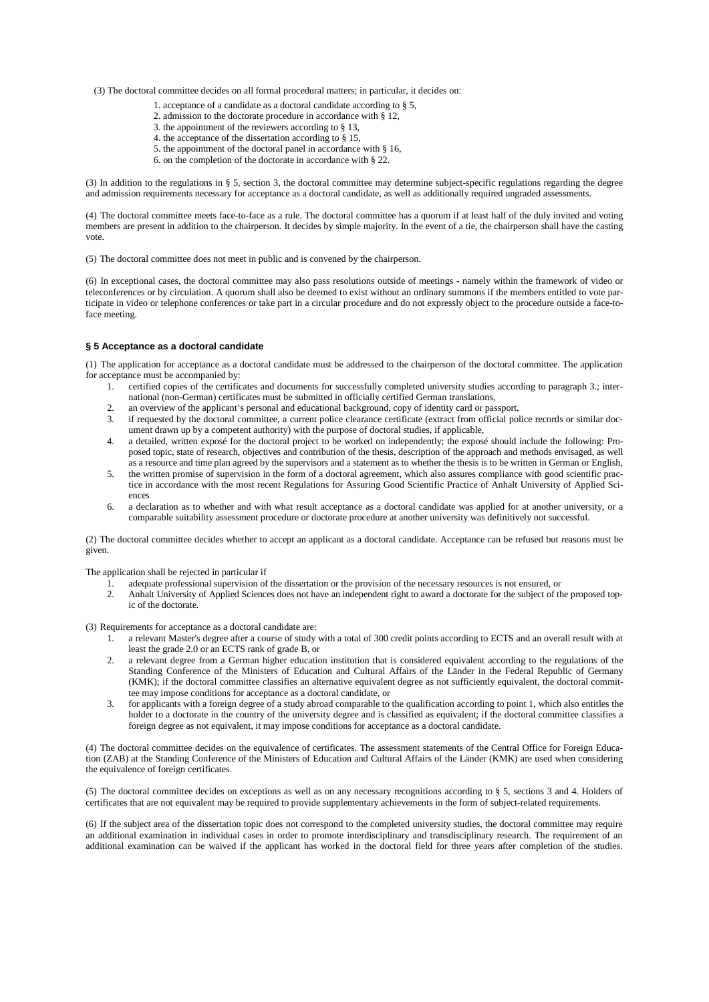- (3) The doctoral committee decides on all formal procedural matters; in particular, it decides on:
	- 1. acceptance of a candidate as a doctoral candidate according to § 5,
	- 2. admission to the doctorate procedure in accordance with § 12,
	- 3. the appointment of the reviewers according to § 13,
	- 4. the acceptance of the dissertation according to  $\S 15$ ,
	- 5. the appointment of the doctoral panel in accordance with § 16,
	- 6. on the completion of the doctorate in accordance with § 22.

(3) In addition to the regulations in § 5, section 3, the doctoral committee may determine subject-specific regulations regarding the degree and admission requirements necessary for acceptance as a doctoral candidate, as well as additionally required ungraded assessments.

(4) The doctoral committee meets face-to-face as a rule. The doctoral committee has a quorum if at least half of the duly invited and voting members are present in addition to the chairperson. It decides by simple majority. In the event of a tie, the chairperson shall have the casting vote.

(5) The doctoral committee does not meet in public and is convened by the chairperson.

(6) In exceptional cases, the doctoral committee may also pass resolutions outside of meetings - namely within the framework of video or teleconferences or by circulation. A quorum shall also be deemed to exist without an ordinary summons if the members entitled to vote participate in video or telephone conferences or take part in a circular procedure and do not expressly object to the procedure outside a face-toface meeting.

#### **§ 5 Acceptance as a doctoral candidate**

(1) The application for acceptance as a doctoral candidate must be addressed to the chairperson of the doctoral committee. The application for acceptance must be accompanied by:

- 1. certified copies of the certificates and documents for successfully completed university studies according to paragraph 3.; international (non-German) certificates must be submitted in officially certified German translations,
- 2. an overview of the applicant's personal and educational background, copy of identity card or passport,<br>3. if requested by the doctoral committee, a current police clearance certificate (extract from official po
- if requested by the doctoral committee, a current police clearance certificate (extract from official police records or similar document drawn up by a competent authority) with the purpose of doctoral studies, if applicable,
- 4. a detailed, written exposé for the doctoral project to be worked on independently; the exposé should include the following: Proposed topic, state of research, objectives and contribution of the thesis, description of the approach and methods envisaged, as well as a resource and time plan agreed by the supervisors and a statement as to whether the thesis is to be written in German or English,
- 5. the written promise of supervision in the form of a doctoral agreement, which also assures compliance with good scientific practice in accordance with the most recent Regulations for Assuring Good Scientific Practice of Anhalt University of Applied Sciences
- 6. a declaration as to whether and with what result acceptance as a doctoral candidate was applied for at another university, or a comparable suitability assessment procedure or doctorate procedure at another university was definitively not successful.

(2) The doctoral committee decides whether to accept an applicant as a doctoral candidate. Acceptance can be refused but reasons must be given.

The application shall be rejected in particular if

- 1. adequate professional supervision of the dissertation or the provision of the necessary resources is not ensured, or
- 2. Anhalt University of Applied Sciences does not have an independent right to award a doctorate for the subject of the proposed topic of the doctorate.

(3) Requirements for acceptance as a doctoral candidate are:

- 1. a relevant Master's degree after a course of study with a total of 300 credit points according to ECTS and an overall result with at least the grade 2.0 or an ECTS rank of grade B, or
- 2. a relevant degree from a German higher education institution that is considered equivalent according to the regulations of the Standing Conference of the Ministers of Education and Cultural Affairs of the Länder in the Federal Republic of Germany (KMK); if the doctoral committee classifies an alternative equivalent degree as not sufficiently equivalent, the doctoral committee may impose conditions for acceptance as a doctoral candidate, or
- 3. for applicants with a foreign degree of a study abroad comparable to the qualification according to point 1, which also entitles the holder to a doctorate in the country of the university degree and is classified as equivalent; if the doctoral committee classifies a foreign degree as not equivalent, it may impose conditions for acceptance as a doctoral candidate.

(4) The doctoral committee decides on the equivalence of certificates. The assessment statements of the Central Office for Foreign Education (ZAB) at the Standing Conference of the Ministers of Education and Cultural Affairs of the Länder (KMK) are used when considering the equivalence of foreign certificates.

(5) The doctoral committee decides on exceptions as well as on any necessary recognitions according to § 5, sections 3 and 4. Holders of certificates that are not equivalent may be required to provide supplementary achievements in the form of subject-related requirements.

(6) If the subject area of the dissertation topic does not correspond to the completed university studies, the doctoral committee may require an additional examination in individual cases in order to promote interdisciplinary and transdisciplinary research. The requirement of an additional examination can be waived if the applicant has worked in the doctoral field for three years after completion of the studies.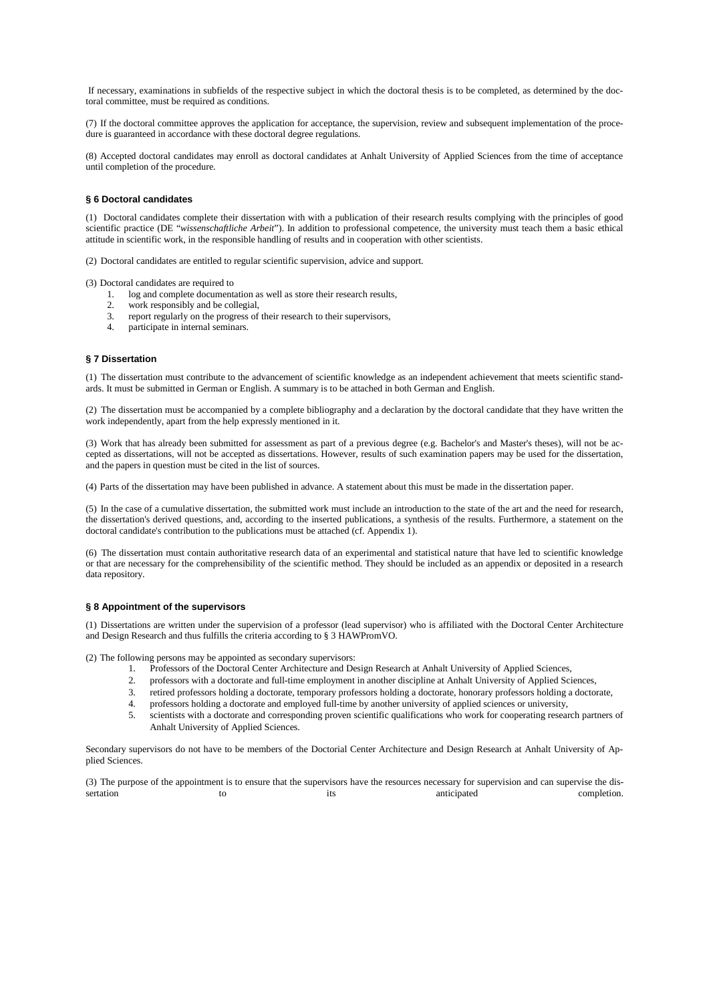If necessary, examinations in subfields of the respective subject in which the doctoral thesis is to be completed, as determined by the doctoral committee, must be required as conditions.

(7) If the doctoral committee approves the application for acceptance, the supervision, review and subsequent implementation of the procedure is guaranteed in accordance with these doctoral degree regulations.

(8) Accepted doctoral candidates may enroll as doctoral candidates at Anhalt University of Applied Sciences from the time of acceptance until completion of the procedure.

#### **§ 6 Doctoral candidates**

(1) Doctoral candidates complete their dissertation with with a publication of their research results complying with the principles of good scientific practice (DE "*wissenschaftliche Arbeit*"). In addition to professional competence, the university must teach them a basic ethical attitude in scientific work, in the responsible handling of results and in cooperation with other scientists.

(2) Doctoral candidates are entitled to regular scientific supervision, advice and support.

(3) Doctoral candidates are required to

- 1. log and complete documentation as well as store their research results,
- 2. work responsibly and be collegial,
- 3. report regularly on the progress of their research to their supervisors,
- 4. participate in internal seminars.

#### **§ 7 Dissertation**

(1) The dissertation must contribute to the advancement of scientific knowledge as an independent achievement that meets scientific standards. It must be submitted in German or English. A summary is to be attached in both German and English.

(2) The dissertation must be accompanied by a complete bibliography and a declaration by the doctoral candidate that they have written the work independently, apart from the help expressly mentioned in it.

(3) Work that has already been submitted for assessment as part of a previous degree (e.g. Bachelor's and Master's theses), will not be accepted as dissertations, will not be accepted as dissertations. However, results of such examination papers may be used for the dissertation, and the papers in question must be cited in the list of sources.

(4) Parts of the dissertation may have been published in advance. A statement about this must be made in the dissertation paper.

(5) In the case of a cumulative dissertation, the submitted work must include an introduction to the state of the art and the need for research, the dissertation's derived questions, and, according to the inserted publications, a synthesis of the results. Furthermore, a statement on the doctoral candidate's contribution to the publications must be attached (cf. Appendix 1).

(6) The dissertation must contain authoritative research data of an experimental and statistical nature that have led to scientific knowledge or that are necessary for the comprehensibility of the scientific method. They should be included as an appendix or deposited in a research data repository.

#### **§ 8 Appointment of the supervisors**

(1) Dissertations are written under the supervision of a professor (lead supervisor) who is affiliated with the Doctoral Center Architecture and Design Research and thus fulfills the criteria according to § 3 HAWPromVO.

(2) The following persons may be appointed as secondary supervisors:

- 1. Professors of the Doctoral Center Architecture and Design Research at Anhalt University of Applied Sciences,
- 2. professors with a doctorate and full-time employment in another discipline at Anhalt University of Applied Sciences,
- 3. retired professors holding a doctorate, temporary professors holding a doctorate, honorary professors holding a doctorate,
- 
- 4. professors holding a doctorate and employed full-time by another university of applied sciences or university,<br>5. scientists with a doctorate and corresponding proven scientific qualifications who work for cooperating r 5. scientists with a doctorate and corresponding proven scientific qualifications who work for cooperating research partners of Anhalt University of Applied Sciences.

Secondary supervisors do not have to be members of the Doctorial Center Architecture and Design Research at Anhalt University of Applied Sciences.

(3) The purpose of the appointment is to ensure that the supervisors have the resources necessary for supervision and can supervise the dissertation to to its anticipated completion.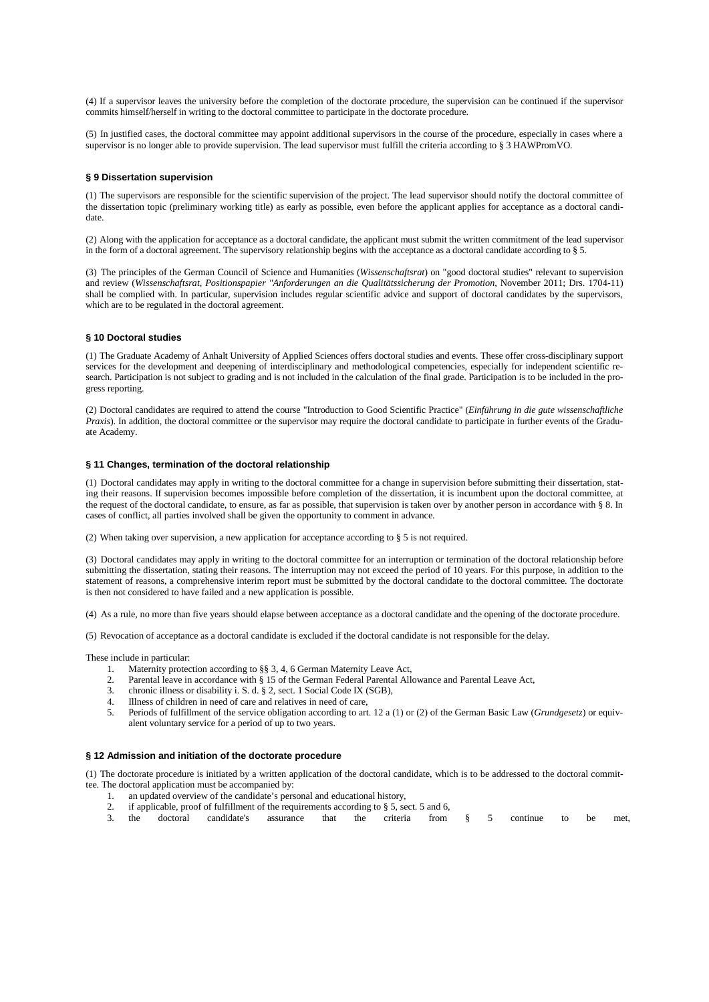(4) If a supervisor leaves the university before the completion of the doctorate procedure, the supervision can be continued if the supervisor commits himself/herself in writing to the doctoral committee to participate in the doctorate procedure.

(5) In justified cases, the doctoral committee may appoint additional supervisors in the course of the procedure, especially in cases where a supervisor is no longer able to provide supervision. The lead supervisor must fulfill the criteria according to § 3 HAWPromVO.

#### **§ 9 Dissertation supervision**

(1) The supervisors are responsible for the scientific supervision of the project. The lead supervisor should notify the doctoral committee of the dissertation topic (preliminary working title) as early as possible, even before the applicant applies for acceptance as a doctoral candidate.

(2) Along with the application for acceptance as a doctoral candidate, the applicant must submit the written commitment of the lead supervisor in the form of a doctoral agreement. The supervisory relationship begins with the acceptance as a doctoral candidate according to § 5.

(3) The principles of the German Council of Science and Humanities (*Wissenschaftsrat*) on "good doctoral studies" relevant to supervision and review (*Wissenschaftsrat, Positionspapier "Anforderungen an die Qualitätssicherung der Promotion*, November 2011; Drs. 1704-11) shall be complied with. In particular, supervision includes regular scientific advice and support of doctoral candidates by the supervisors, which are to be regulated in the doctoral agreement.

#### **§ 10 Doctoral studies**

(1) The Graduate Academy of Anhalt University of Applied Sciences offers doctoral studies and events. These offer cross-disciplinary support services for the development and deepening of interdisciplinary and methodological competencies, especially for independent scientific research. Participation is not subject to grading and is not included in the calculation of the final grade. Participation is to be included in the progress reporting.

(2) Doctoral candidates are required to attend the course "Introduction to Good Scientific Practice" (*Einführung in die gute wissenschaftliche Praxis*). In addition, the doctoral committee or the supervisor may require the doctoral candidate to participate in further events of the Graduate Academy.

#### **§ 11 Changes, termination of the doctoral relationship**

(1) Doctoral candidates may apply in writing to the doctoral committee for a change in supervision before submitting their dissertation, stating their reasons. If supervision becomes impossible before completion of the dissertation, it is incumbent upon the doctoral committee, at the request of the doctoral candidate, to ensure, as far as possible, that supervision is taken over by another person in accordance with § 8. In cases of conflict, all parties involved shall be given the opportunity to comment in advance.

(2) When taking over supervision, a new application for acceptance according to § 5 is not required.

(3) Doctoral candidates may apply in writing to the doctoral committee for an interruption or termination of the doctoral relationship before submitting the dissertation, stating their reasons. The interruption may not exceed the period of 10 years. For this purpose, in addition to the statement of reasons, a comprehensive interim report must be submitted by the doctoral candidate to the doctoral committee. The doctorate is then not considered to have failed and a new application is possible.

(4) As a rule, no more than five years should elapse between acceptance as a doctoral candidate and the opening of the doctorate procedure.

(5) Revocation of acceptance as a doctoral candidate is excluded if the doctoral candidate is not responsible for the delay.

These include in particular:

- 1. Maternity protection according to §§ 3, 4, 6 German Maternity Leave Act,
- 2. Parental leave in accordance with § 15 of the German Federal Parental Allowance and Parental Leave Act,
- 3. chronic illness or disability i. S. d.  $\S$  2, sect. 1 Social Code IX (SGB), 4 Illness of children in need of care and relatives in need of care
- Illness of children in need of care and relatives in need of care,
- 5. Periods of fulfillment of the service obligation according to art. 12 a (1) or (2) of the German Basic Law (*Grundgesetz*) or equivalent voluntary service for a period of up to two years.

#### **§ 12 Admission and initiation of the doctorate procedure**

(1) The doctorate procedure is initiated by a written application of the doctoral candidate, which is to be addressed to the doctoral committee. The doctoral application must be accompanied by:

- 1. an updated overview of the candidate's personal and educational history,
- 2. if applicable, proof of fulfillment of the requirements according to § 5, sect. 5 and 6, 3. the doctoral candidate's assurance that the criteria from
- 3. the doctoral candidate's assurance that the criteria from § 5 continue to be met,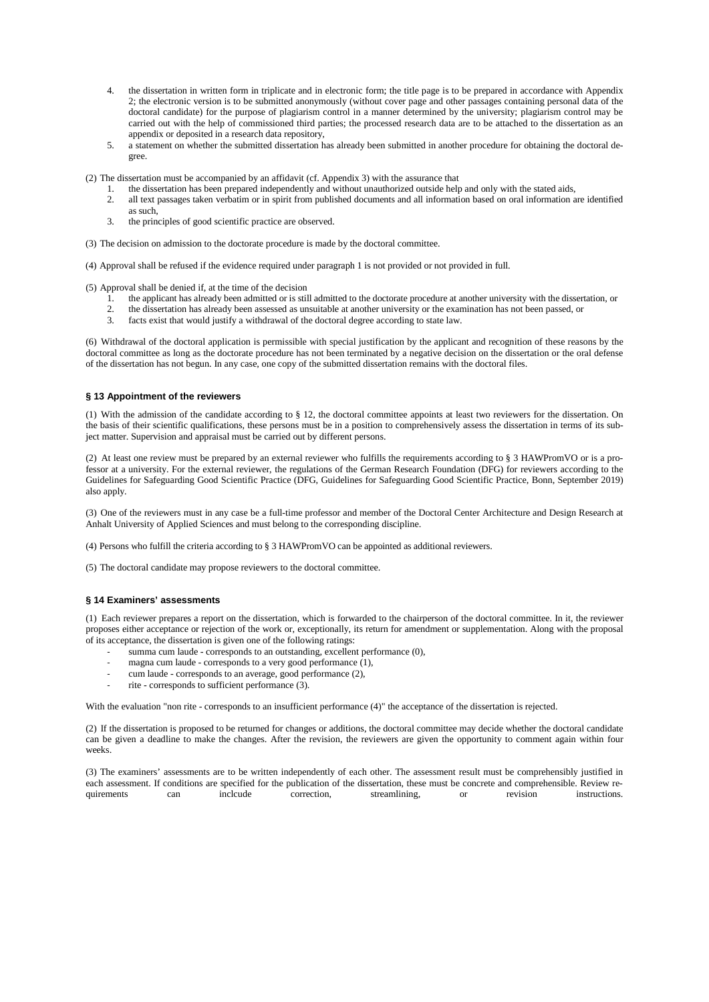- 4. the dissertation in written form in triplicate and in electronic form; the title page is to be prepared in accordance with Appendix 2; the electronic version is to be submitted anonymously (without cover page and other passages containing personal data of the doctoral candidate) for the purpose of plagiarism control in a manner determined by the university; plagiarism control may be carried out with the help of commissioned third parties; the processed research data are to be attached to the dissertation as an appendix or deposited in a research data repository,
- 5. a statement on whether the submitted dissertation has already been submitted in another procedure for obtaining the doctoral degree.

(2) The dissertation must be accompanied by an affidavit (cf. Appendix 3) with the assurance that

- 1. the dissertation has been prepared independently and without unauthorized outside help and only with the stated aids,
- 2. all text passages taken verbatim or in spirit from published documents and all information based on oral information are identified as such,
- 3. the principles of good scientific practice are observed.
- (3) The decision on admission to the doctorate procedure is made by the doctoral committee.
- (4) Approval shall be refused if the evidence required under paragraph 1 is not provided or not provided in full.

(5) Approval shall be denied if, at the time of the decision

- 1. the applicant has already been admitted or is still admitted to the doctorate procedure at another university with the dissertation, or
- 2. the dissertation has already been assessed as unsuitable at another university or the examination has not been passed, or
- 3. facts exist that would justify a withdrawal of the doctoral degree according to state law.

(6) Withdrawal of the doctoral application is permissible with special justification by the applicant and recognition of these reasons by the doctoral committee as long as the doctorate procedure has not been terminated by a negative decision on the dissertation or the oral defense of the dissertation has not begun. In any case, one copy of the submitted dissertation remains with the doctoral files.

#### **§ 13 Appointment of the reviewers**

(1) With the admission of the candidate according to § 12, the doctoral committee appoints at least two reviewers for the dissertation. On the basis of their scientific qualifications, these persons must be in a position to comprehensively assess the dissertation in terms of its subject matter. Supervision and appraisal must be carried out by different persons.

(2) At least one review must be prepared by an external reviewer who fulfills the requirements according to § 3 HAWPromVO or is a professor at a university. For the external reviewer, the regulations of the German Research Foundation (DFG) for reviewers according to the Guidelines for Safeguarding Good Scientific Practice (DFG, Guidelines for Safeguarding Good Scientific Practice, Bonn, September 2019) also apply.

(3) One of the reviewers must in any case be a full-time professor and member of the Doctoral Center Architecture and Design Research at Anhalt University of Applied Sciences and must belong to the corresponding discipline.

(4) Persons who fulfill the criteria according to § 3 HAWPromVO can be appointed as additional reviewers.

(5) The doctoral candidate may propose reviewers to the doctoral committee.

#### **§ 14 Examiners' assessments**

(1) Each reviewer prepares a report on the dissertation, which is forwarded to the chairperson of the doctoral committee. In it, the reviewer proposes either acceptance or rejection of the work or, exceptionally, its return for amendment or supplementation. Along with the proposal of its acceptance, the dissertation is given one of the following ratings:

- summa cum laude corresponds to an outstanding, excellent performance (0),
- magna cum laude corresponds to a very good performance  $(1)$ ,
- cum laude corresponds to an average, good performance (2),
- rite corresponds to sufficient performance  $(3)$ .

With the evaluation "non rite - corresponds to an insufficient performance (4)" the acceptance of the dissertation is rejected.

(2) If the dissertation is proposed to be returned for changes or additions, the doctoral committee may decide whether the doctoral candidate can be given a deadline to make the changes. After the revision, the reviewers are given the opportunity to comment again within four weeks.

(3) The examiners' assessments are to be written independently of each other. The assessment result must be comprehensibly justified in each assessment. If conditions are specified for the publication of the dissertation, these must be concrete and comprehensible. Review requirements can inclcude correction, streamlining, or revision instructions.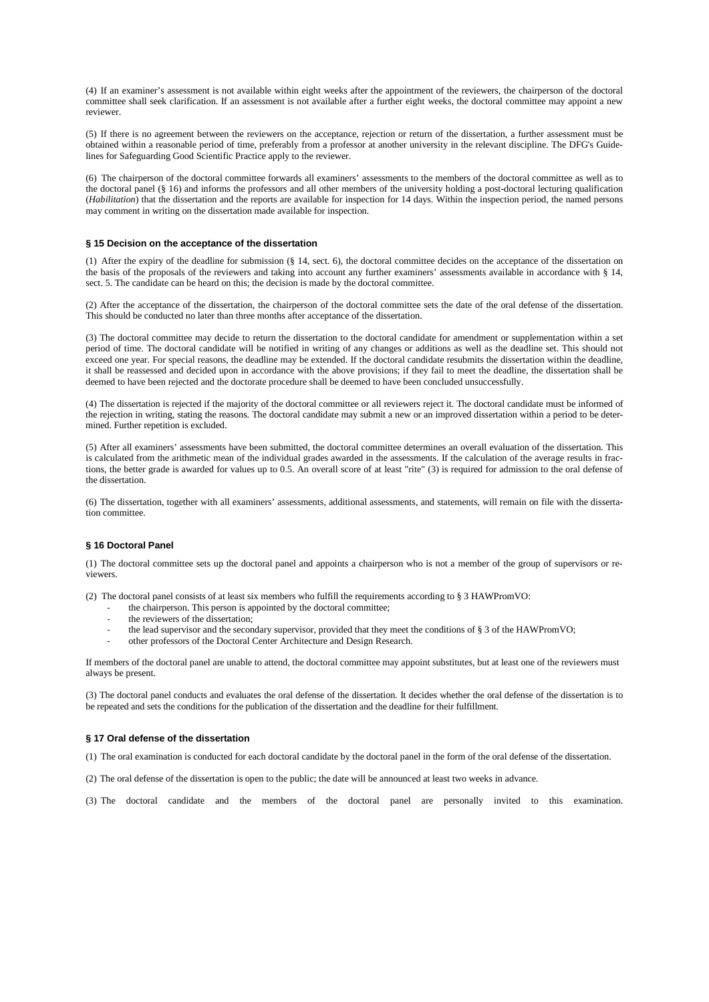(4) If an examiner's assessment is not available within eight weeks after the appointment of the reviewers, the chairperson of the doctoral committee shall seek clarification. If an assessment is not available after a further eight weeks, the doctoral committee may appoint a new reviewer.

(5) If there is no agreement between the reviewers on the acceptance, rejection or return of the dissertation, a further assessment must be obtained within a reasonable period of time, preferably from a professor at another university in the relevant discipline. The DFG's Guidelines for Safeguarding Good Scientific Practice apply to the reviewer.

(6) The chairperson of the doctoral committee forwards all examiners' assessments to the members of the doctoral committee as well as to the doctoral panel (§ 16) and informs the professors and all other members of the university holding a post-doctoral lecturing qualification (*Habilitation*) that the dissertation and the reports are available for inspection for 14 days. Within the inspection period, the named persons may comment in writing on the dissertation made available for inspection.

#### **§ 15 Decision on the acceptance of the dissertation**

(1) After the expiry of the deadline for submission (§ 14, sect. 6), the doctoral committee decides on the acceptance of the dissertation on the basis of the proposals of the reviewers and taking into account any further examiners' assessments available in accordance with § 14, sect. 5. The candidate can be heard on this; the decision is made by the doctoral committee.

(2) After the acceptance of the dissertation, the chairperson of the doctoral committee sets the date of the oral defense of the dissertation. This should be conducted no later than three months after acceptance of the dissertation.

(3) The doctoral committee may decide to return the dissertation to the doctoral candidate for amendment or supplementation within a set period of time. The doctoral candidate will be notified in writing of any changes or additions as well as the deadline set. This should not exceed one year. For special reasons, the deadline may be extended. If the doctoral candidate resubmits the dissertation within the deadline, it shall be reassessed and decided upon in accordance with the above provisions; if they fail to meet the deadline, the dissertation shall be deemed to have been rejected and the doctorate procedure shall be deemed to have been concluded unsuccessfully.

(4) The dissertation is rejected if the majority of the doctoral committee or all reviewers reject it. The doctoral candidate must be informed of the rejection in writing, stating the reasons. The doctoral candidate may submit a new or an improved dissertation within a period to be determined. Further repetition is excluded.

(5) After all examiners' assessments have been submitted, the doctoral committee determines an overall evaluation of the dissertation. This is calculated from the arithmetic mean of the individual grades awarded in the assessments. If the calculation of the average results in fractions, the better grade is awarded for values up to 0.5. An overall score of at least "rite" (3) is required for admission to the oral defense of the dissertation.

(6) The dissertation, together with all examiners' assessments, additional assessments, and statements, will remain on file with the dissertation committee.

#### **§ 16 Doctoral Panel**

(1) The doctoral committee sets up the doctoral panel and appoints a chairperson who is not a member of the group of supervisors or reviewers.

(2) The doctoral panel consists of at least six members who fulfill the requirements according to § 3 HAWPromVO:

- the chairperson. This person is appointed by the doctoral committee;
- the reviewers of the dissertation:
- the lead supervisor and the secondary supervisor, provided that they meet the conditions of § 3 of the HAWPromVO;
- other professors of the Doctoral Center Architecture and Design Research.

If members of the doctoral panel are unable to attend, the doctoral committee may appoint substitutes, but at least one of the reviewers must always be present.

(3) The doctoral panel conducts and evaluates the oral defense of the dissertation. It decides whether the oral defense of the dissertation is to be repeated and sets the conditions for the publication of the dissertation and the deadline for their fulfillment.

#### **§ 17 Oral defense of the dissertation**

(1) The oral examination is conducted for each doctoral candidate by the doctoral panel in the form of the oral defense of the dissertation.

(2) The oral defense of the dissertation is open to the public; the date will be announced at least two weeks in advance.

(3) The doctoral candidate and the members of the doctoral panel are personally invited to this examination.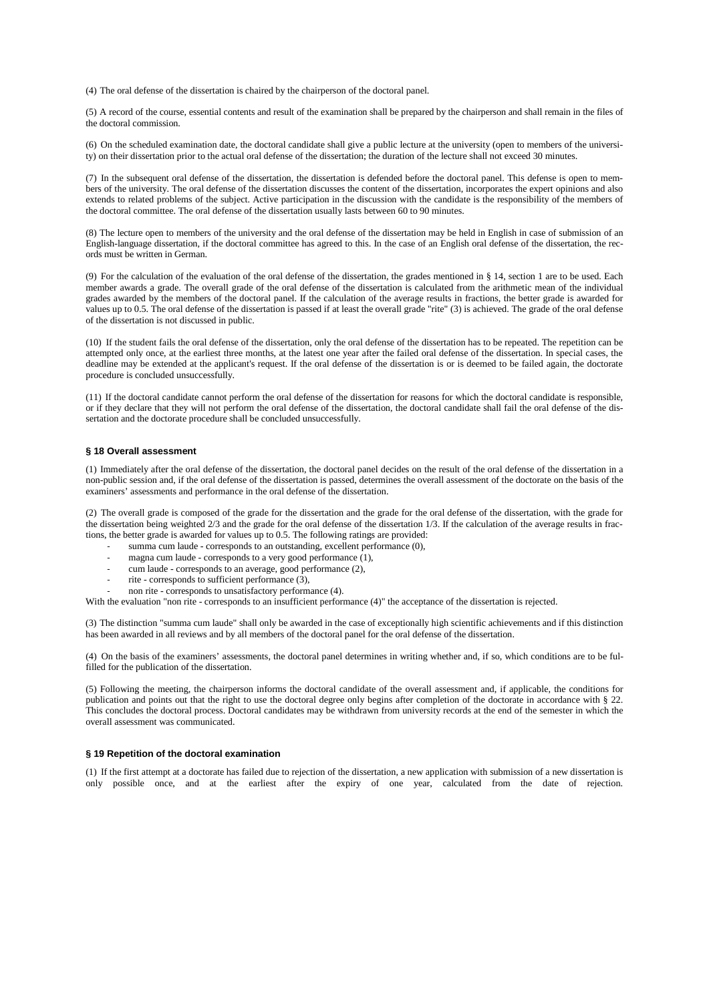(4) The oral defense of the dissertation is chaired by the chairperson of the doctoral panel.

(5) A record of the course, essential contents and result of the examination shall be prepared by the chairperson and shall remain in the files of the doctoral commission.

(6) On the scheduled examination date, the doctoral candidate shall give a public lecture at the university (open to members of the university) on their dissertation prior to the actual oral defense of the dissertation; the duration of the lecture shall not exceed 30 minutes.

(7) In the subsequent oral defense of the dissertation, the dissertation is defended before the doctoral panel. This defense is open to members of the university. The oral defense of the dissertation discusses the content of the dissertation, incorporates the expert opinions and also extends to related problems of the subject. Active participation in the discussion with the candidate is the responsibility of the members of the doctoral committee. The oral defense of the dissertation usually lasts between 60 to 90 minutes.

(8) The lecture open to members of the university and the oral defense of the dissertation may be held in English in case of submission of an English-language dissertation, if the doctoral committee has agreed to this. In the case of an English oral defense of the dissertation, the records must be written in German.

(9) For the calculation of the evaluation of the oral defense of the dissertation, the grades mentioned in § 14, section 1 are to be used. Each member awards a grade. The overall grade of the oral defense of the dissertation is calculated from the arithmetic mean of the individual grades awarded by the members of the doctoral panel. If the calculation of the average results in fractions, the better grade is awarded for values up to 0.5. The oral defense of the dissertation is passed if at least the overall grade "rite" (3) is achieved. The grade of the oral defense of the dissertation is not discussed in public.

(10) If the student fails the oral defense of the dissertation, only the oral defense of the dissertation has to be repeated. The repetition can be attempted only once, at the earliest three months, at the latest one year after the failed oral defense of the dissertation. In special cases, the deadline may be extended at the applicant's request. If the oral defense of the dissertation is or is deemed to be failed again, the doctorate procedure is concluded unsuccessfully.

(11) If the doctoral candidate cannot perform the oral defense of the dissertation for reasons for which the doctoral candidate is responsible, or if they declare that they will not perform the oral defense of the dissertation, the doctoral candidate shall fail the oral defense of the dissertation and the doctorate procedure shall be concluded unsuccessfully.

#### **§ 18 Overall assessment**

(1) Immediately after the oral defense of the dissertation, the doctoral panel decides on the result of the oral defense of the dissertation in a non-public session and, if the oral defense of the dissertation is passed, determines the overall assessment of the doctorate on the basis of the examiners' assessments and performance in the oral defense of the dissertation.

(2) The overall grade is composed of the grade for the dissertation and the grade for the oral defense of the dissertation, with the grade for the dissertation being weighted 2/3 and the grade for the oral defense of the dissertation 1/3. If the calculation of the average results in fractions, the better grade is awarded for values up to 0.5. The following ratings are provided:

- summa cum laude corresponds to an outstanding, excellent performance (0),
- magna cum laude corresponds to a very good performance (1),
- cum laude corresponds to an average, good performance (2),
- rite corresponds to sufficient performance (3),
- non rite corresponds to unsatisfactory performance (4).

With the evaluation "non rite - corresponds to an insufficient performance (4)" the acceptance of the dissertation is rejected.

(3) The distinction "summa cum laude" shall only be awarded in the case of exceptionally high scientific achievements and if this distinction has been awarded in all reviews and by all members of the doctoral panel for the oral defense of the dissertation.

(4) On the basis of the examiners' assessments, the doctoral panel determines in writing whether and, if so, which conditions are to be fulfilled for the publication of the dissertation.

(5) Following the meeting, the chairperson informs the doctoral candidate of the overall assessment and, if applicable, the conditions for publication and points out that the right to use the doctoral degree only begins after completion of the doctorate in accordance with § 22. This concludes the doctoral process. Doctoral candidates may be withdrawn from university records at the end of the semester in which the overall assessment was communicated.

#### **§ 19 Repetition of the doctoral examination**

(1) If the first attempt at a doctorate has failed due to rejection of the dissertation, a new application with submission of a new dissertation is only possible once, and at the earliest after the expiry of one year, calculated from the date of rejection.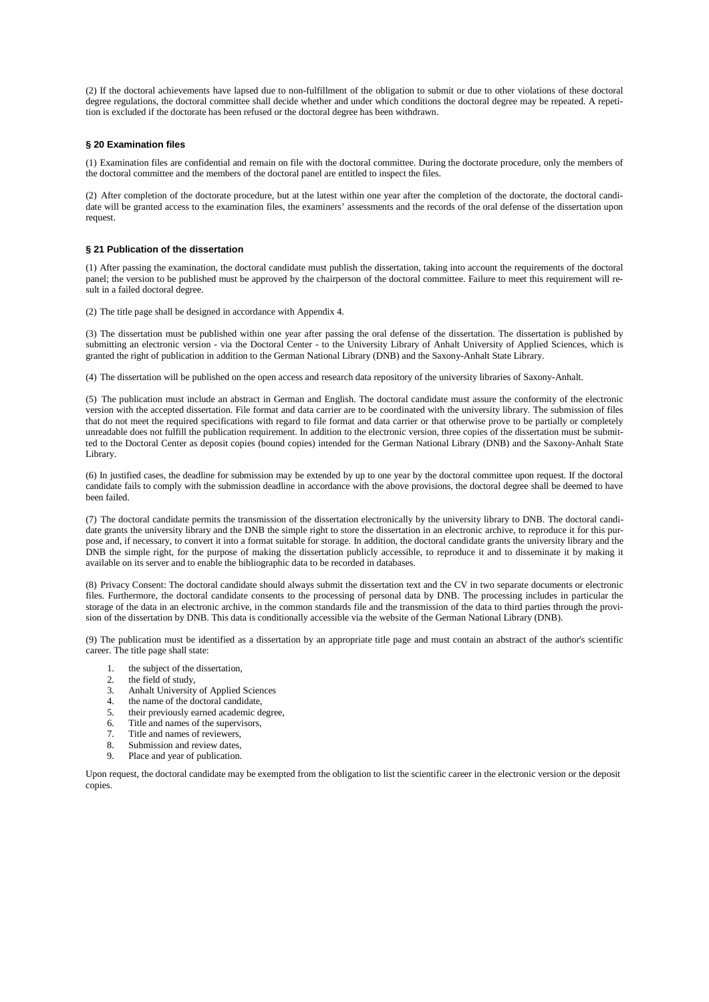(2) If the doctoral achievements have lapsed due to non-fulfillment of the obligation to submit or due to other violations of these doctoral degree regulations, the doctoral committee shall decide whether and under which conditions the doctoral degree may be repeated. A repetition is excluded if the doctorate has been refused or the doctoral degree has been withdrawn.

#### **§ 20 Examination files**

(1) Examination files are confidential and remain on file with the doctoral committee. During the doctorate procedure, only the members of the doctoral committee and the members of the doctoral panel are entitled to inspect the files.

(2) After completion of the doctorate procedure, but at the latest within one year after the completion of the doctorate, the doctoral candidate will be granted access to the examination files, the examiners' assessments and the records of the oral defense of the dissertation upon request.

#### **§ 21 Publication of the dissertation**

(1) After passing the examination, the doctoral candidate must publish the dissertation, taking into account the requirements of the doctoral panel; the version to be published must be approved by the chairperson of the doctoral committee. Failure to meet this requirement will result in a failed doctoral degree.

(2) The title page shall be designed in accordance with Appendix 4.

(3) The dissertation must be published within one year after passing the oral defense of the dissertation. The dissertation is published by submitting an electronic version - via the Doctoral Center - to the University Library of Anhalt University of Applied Sciences, which is granted the right of publication in addition to the German National Library (DNB) and the Saxony-Anhalt State Library.

(4) The dissertation will be published on the open access and research data repository of the university libraries of Saxony-Anhalt.

(5) The publication must include an abstract in German and English. The doctoral candidate must assure the conformity of the electronic version with the accepted dissertation. File format and data carrier are to be coordinated with the university library. The submission of files that do not meet the required specifications with regard to file format and data carrier or that otherwise prove to be partially or completely unreadable does not fulfill the publication requirement. In addition to the electronic version, three copies of the dissertation must be submitted to the Doctoral Center as deposit copies (bound copies) intended for the German National Library (DNB) and the Saxony-Anhalt State Library.

(6) In justified cases, the deadline for submission may be extended by up to one year by the doctoral committee upon request. If the doctoral candidate fails to comply with the submission deadline in accordance with the above provisions, the doctoral degree shall be deemed to have been failed.

(7) The doctoral candidate permits the transmission of the dissertation electronically by the university library to DNB. The doctoral candidate grants the university library and the DNB the simple right to store the dissertation in an electronic archive, to reproduce it for this purpose and, if necessary, to convert it into a format suitable for storage. In addition, the doctoral candidate grants the university library and the DNB the simple right, for the purpose of making the dissertation publicly accessible, to reproduce it and to disseminate it by making it available on its server and to enable the bibliographic data to be recorded in databases.

(8) Privacy Consent: The doctoral candidate should always submit the dissertation text and the CV in two separate documents or electronic files. Furthermore, the doctoral candidate consents to the processing of personal data by DNB. The processing includes in particular the storage of the data in an electronic archive, in the common standards file and the transmission of the data to third parties through the provision of the dissertation by DNB. This data is conditionally accessible via the website of the German National Library (DNB).

(9) The publication must be identified as a dissertation by an appropriate title page and must contain an abstract of the author's scientific career. The title page shall state:

- 1. the subject of the dissertation,
- 2. the field of study,
- 3. Anhalt University of Applied Sciences<br>4. the name of the doctoral candidate,
- the name of the doctoral candidate,
- 5. their previously earned academic degree,
- 6. Title and names of the supervisors,
- 7. Title and names of reviewers,
- 8. Submission and review dates,
- 9. Place and year of publication.

Upon request, the doctoral candidate may be exempted from the obligation to list the scientific career in the electronic version or the deposit copies.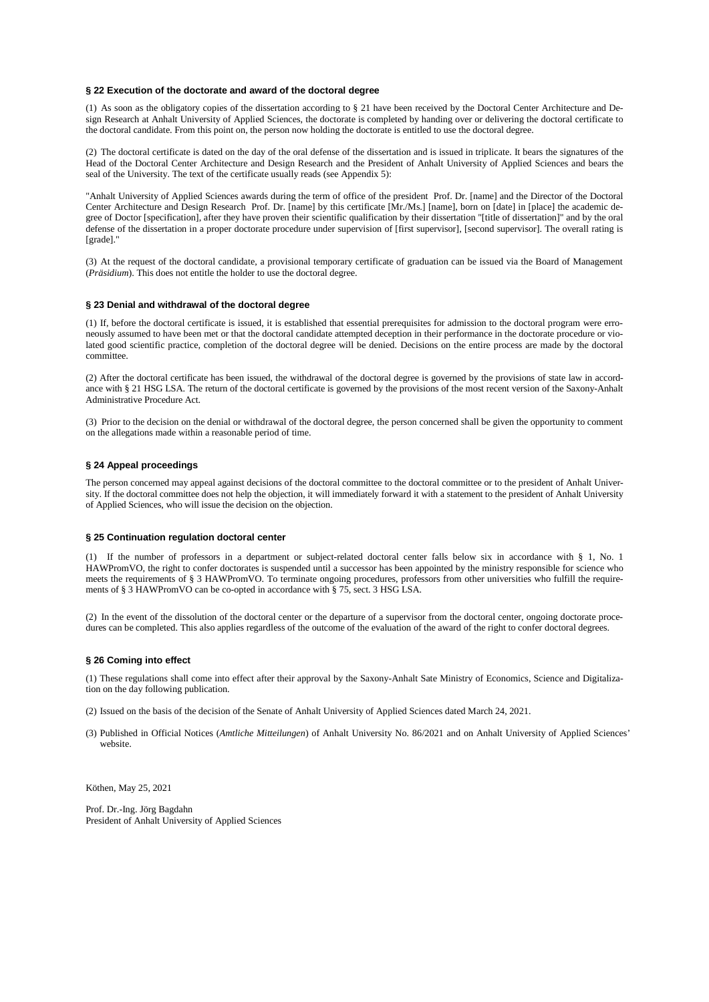#### **§ 22 Execution of the doctorate and award of the doctoral degree**

(1) As soon as the obligatory copies of the dissertation according to § 21 have been received by the Doctoral Center Architecture and Design Research at Anhalt University of Applied Sciences, the doctorate is completed by handing over or delivering the doctoral certificate to the doctoral candidate. From this point on, the person now holding the doctorate is entitled to use the doctoral degree.

(2) The doctoral certificate is dated on the day of the oral defense of the dissertation and is issued in triplicate. It bears the signatures of the Head of the Doctoral Center Architecture and Design Research and the President of Anhalt University of Applied Sciences and bears the seal of the University. The text of the certificate usually reads (see Appendix 5):

"Anhalt University of Applied Sciences awards during the term of office of the president Prof. Dr. [name] and the Director of the Doctoral Center Architecture and Design Research Prof. Dr. [name] by this certificate [Mr./Ms.] [name], born on [date] in [place] the academic degree of Doctor [specification], after they have proven their scientific qualification by their dissertation "[title of dissertation]" and by the oral defense of the dissertation in a proper doctorate procedure under supervision of [first supervisor], [second supervisor]. The overall rating is [grade]."

(3) At the request of the doctoral candidate, a provisional temporary certificate of graduation can be issued via the Board of Management (*Präsidium*). This does not entitle the holder to use the doctoral degree.

#### **§ 23 Denial and withdrawal of the doctoral degree**

(1) If, before the doctoral certificate is issued, it is established that essential prerequisites for admission to the doctoral program were erroneously assumed to have been met or that the doctoral candidate attempted deception in their performance in the doctorate procedure or violated good scientific practice, completion of the doctoral degree will be denied. Decisions on the entire process are made by the doctoral committee.

(2) After the doctoral certificate has been issued, the withdrawal of the doctoral degree is governed by the provisions of state law in accordance with § 21 HSG LSA. The return of the doctoral certificate is governed by the provisions of the most recent version of the Saxony-Anhalt Administrative Procedure Act.

(3) Prior to the decision on the denial or withdrawal of the doctoral degree, the person concerned shall be given the opportunity to comment on the allegations made within a reasonable period of time.

#### **§ 24 Appeal proceedings**

The person concerned may appeal against decisions of the doctoral committee to the doctoral committee or to the president of Anhalt University. If the doctoral committee does not help the objection, it will immediately forward it with a statement to the president of Anhalt University of Applied Sciences, who will issue the decision on the objection.

#### **§ 25 Continuation regulation doctoral center**

(1) If the number of professors in a department or subject-related doctoral center falls below six in accordance with § 1, No. 1 HAWPromVO, the right to confer doctorates is suspended until a successor has been appointed by the ministry responsible for science who meets the requirements of § 3 HAWPromVO. To terminate ongoing procedures, professors from other universities who fulfill the requirements of § 3 HAWPromVO can be co-opted in accordance with § 75, sect. 3 HSG LSA.

(2) In the event of the dissolution of the doctoral center or the departure of a supervisor from the doctoral center, ongoing doctorate procedures can be completed. This also applies regardless of the outcome of the evaluation of the award of the right to confer doctoral degrees.

#### **§ 26 Coming into effect**

(1) These regulations shall come into effect after their approval by the Saxony-Anhalt Sate Ministry of Economics, Science and Digitalization on the day following publication.

- (2) Issued on the basis of the decision of the Senate of Anhalt University of Applied Sciences dated March 24, 2021.
- (3) Published in Official Notices (*Amtliche Mitteilungen*) of Anhalt University No. 86/2021 and on Anhalt University of Applied Sciences' website.

Köthen, May 25, 2021

Prof. Dr.-Ing. Jörg Bagdahn President of Anhalt University of Applied Sciences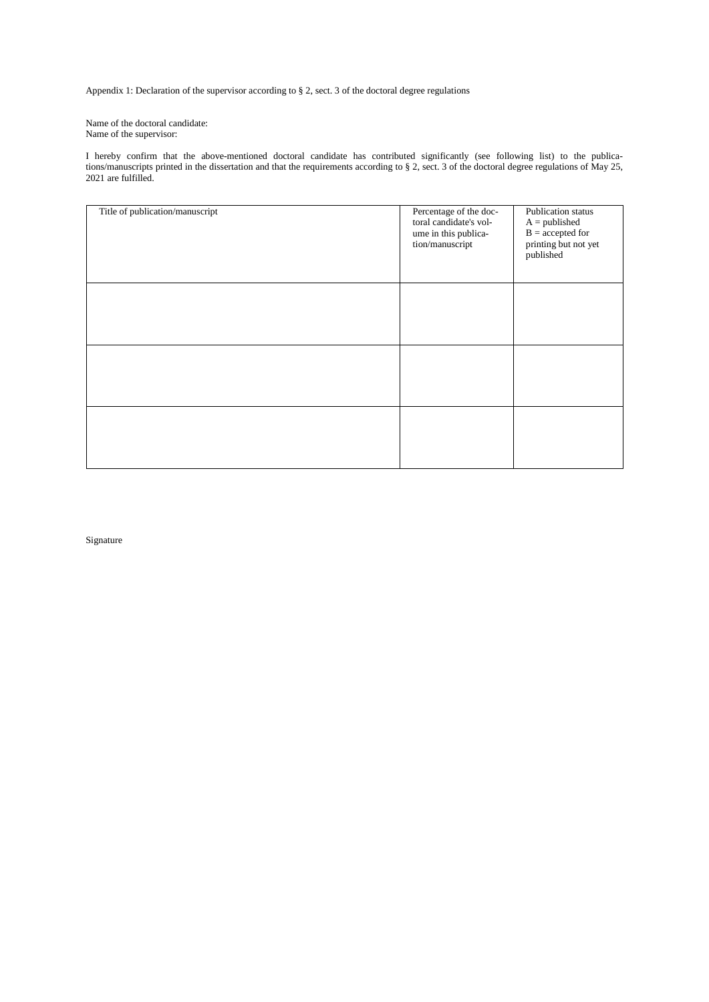Appendix 1: Declaration of the supervisor according to § 2, sect. 3 of the doctoral degree regulations

Name of the doctoral candidate: Name of the supervisor:

I hereby confirm that the above-mentioned doctoral candidate has contributed significantly (see following list) to the publications/manuscripts printed in the dissertation and that the requirements according to § 2, sect. 3 of the doctoral degree regulations of May 25, 2021 are fulfilled.

| Title of publication/manuscript | Percentage of the doc-<br>toral candidate's vol-<br>ume in this publica-<br>tion/manuscript | Publication status<br>$A =$ published<br>$B = accepted for$<br>printing but not yet<br>published |
|---------------------------------|---------------------------------------------------------------------------------------------|--------------------------------------------------------------------------------------------------|
|                                 |                                                                                             |                                                                                                  |
|                                 |                                                                                             |                                                                                                  |
|                                 |                                                                                             |                                                                                                  |

Signature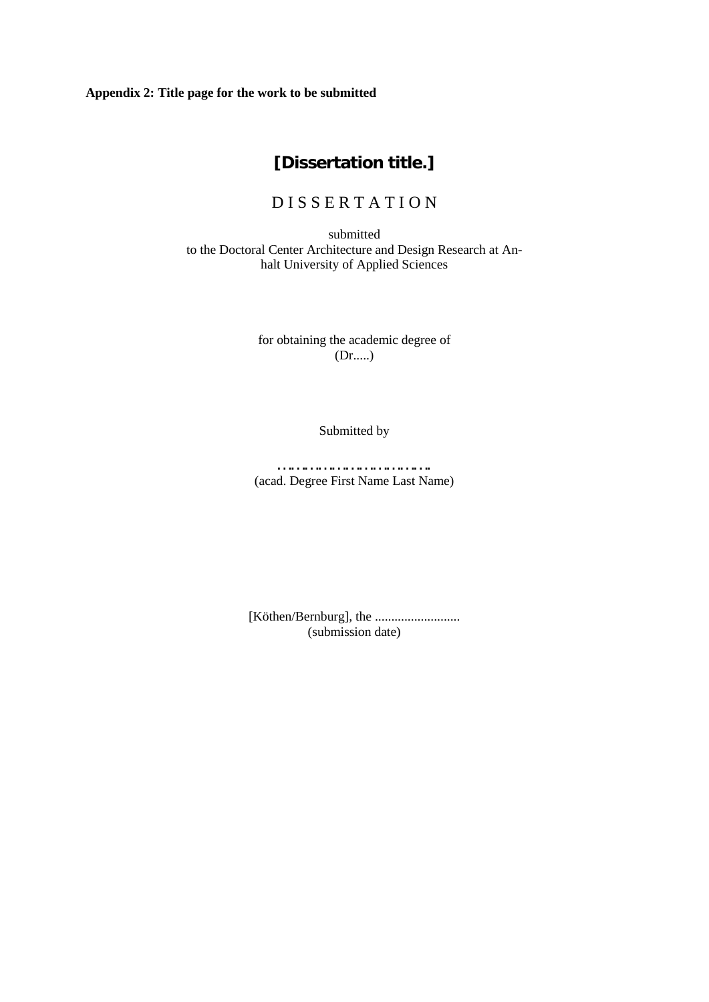**Appendix 2: Title page for the work to be submitted**

### **[Dissertation title.]**

### D I S S E R T A T I O N

submitted to the Doctoral Center Architecture and Design Research at Anhalt University of Applied Sciences

> for obtaining the academic degree of (Dr.....)

> > Submitted by

……………………………. (acad. Degree First Name Last Name)

[Köthen/Bernburg], the .......................... (submission date)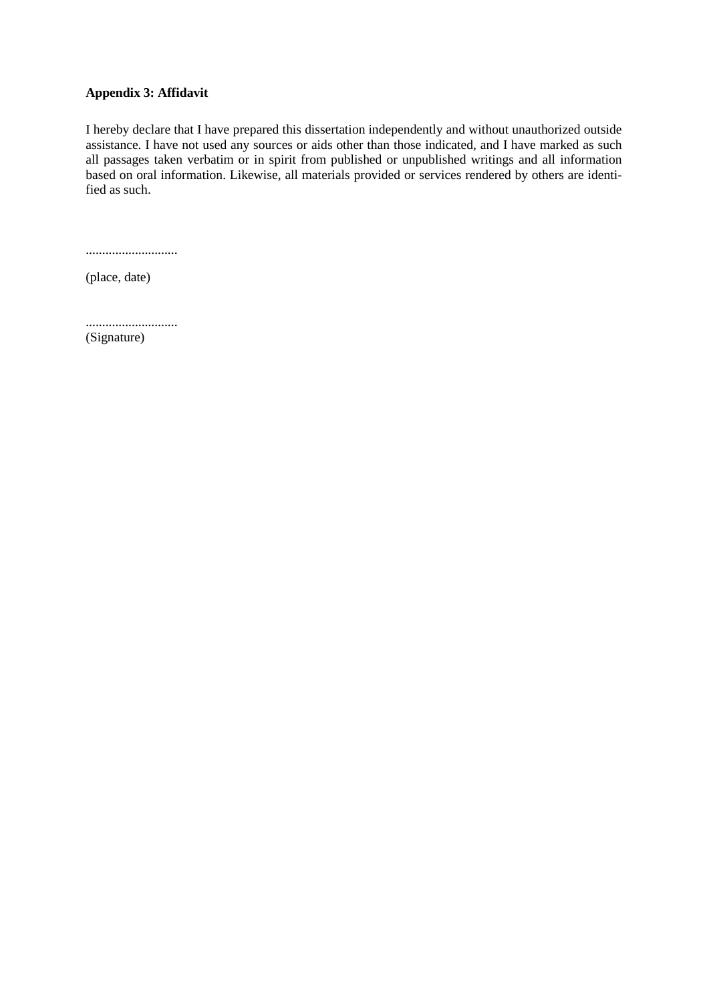### **Appendix 3: Affidavit**

I hereby declare that I have prepared this dissertation independently and without unauthorized outside assistance. I have not used any sources or aids other than those indicated, and I have marked as such all passages taken verbatim or in spirit from published or unpublished writings and all information based on oral information. Likewise, all materials provided or services rendered by others are identified as such.

............................

(place, date)

............................

(Signature)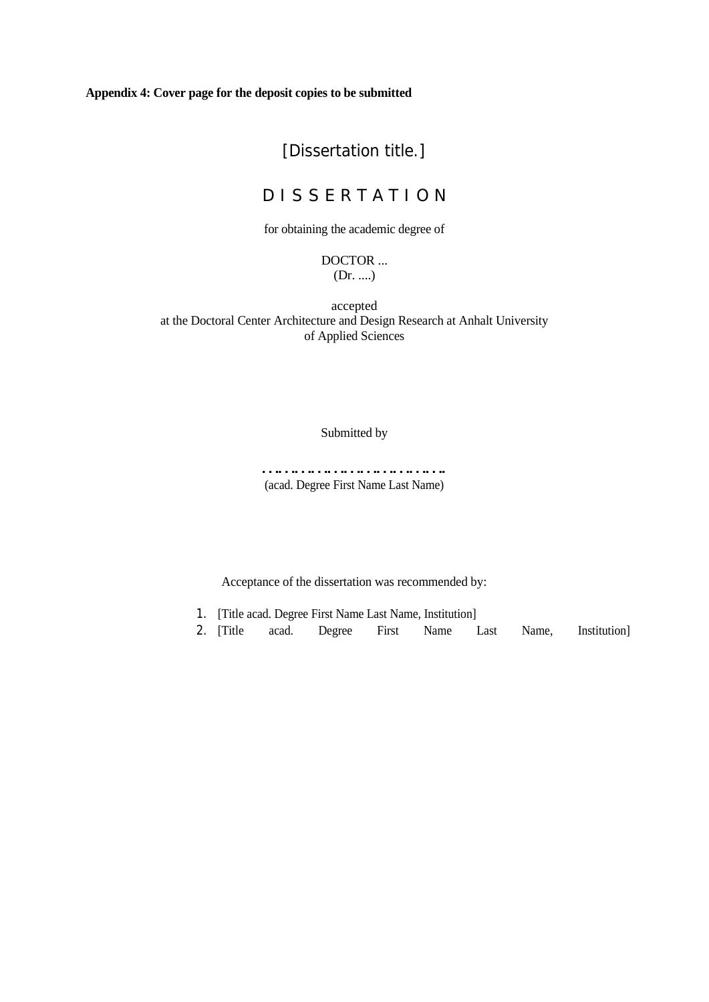**Appendix 4: Cover page for the deposit copies to be submitted**

## [Dissertation title.]

## D I S S E R T A T I O N

for obtaining the academic degree of

### DOCTOR ... (Dr. ....)

accepted at the Doctoral Center Architecture and Design Research at Anhalt University of Applied Sciences

### Submitted by

……………………………………… (acad. Degree First Name Last Name)

Acceptance of the dissertation was recommended by:

- 1. [Title acad. Degree First Name Last Name, Institution]
- 2. [Title acad. Degree First Name Last Name, Institution]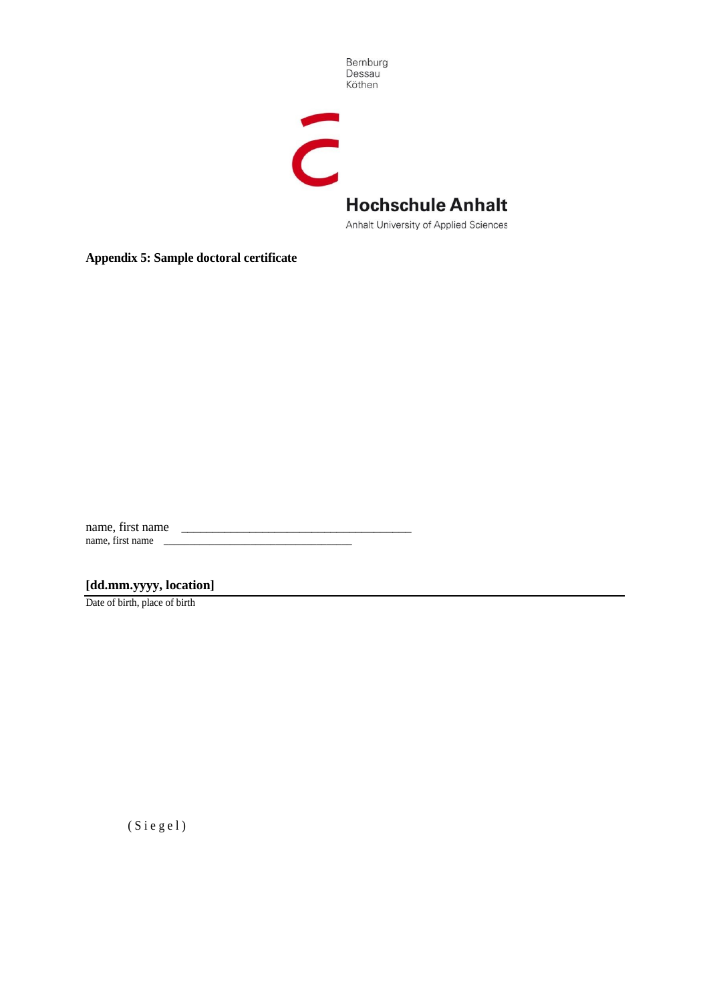

**Appendix 5: Sample doctoral certificate**

name, first name name, first name

**[dd.mm.yyyy, location]**

Date of birth, place of birth

 $(S \text{ i} e \text{ g} e 1)$